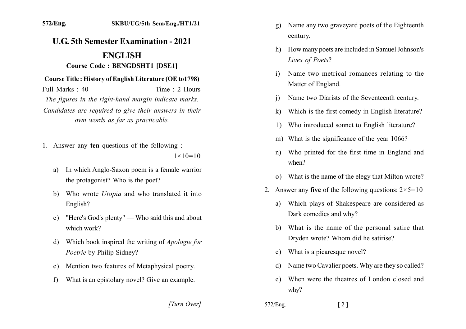## **U.G. 5th Semester Examination - 2021 ENGLISH**

## **Course Code: BENGDSHT1 [DSE1]**

## Course Title: History of English Literature (OE to 1798)

Full Marks  $\cdot$  40 Time  $\cdot$  2 Hours The figures in the right-hand margin indicate marks. Candidates are required to give their answers in their own words as far as practicable.

1. Answer any ten questions of the following :

 $1 \times 10 = 10$ 

- In which Anglo-Saxon poem is a female warrior a) the protagonist? Who is the poet?
- b) Who wrote *Utopia* and who translated it into English?
- "Here's God's plenty" Who said this and about  $c$ ) which work?
- Which book inspired the writing of *Apologie for* d) Poetrie by Philip Sidney?
- Mention two features of Metaphysical poetry.  $e)$
- What is an epistolary novel? Give an example.  $f$ 
	- [Turn Over]
- Name any two graveyard poets of the Eighteenth  $g)$ century.
- How many poets are included in Samuel Johnson's  $h$ Lives of Poets?
- Name two metrical romances relating to the  $\mathbf{i}$ Matter of England.
- Name two Diarists of the Seventeenth century.  $\overline{1}$
- Which is the first comedy in English literature?  $\bf k$
- Who introduced sonnet to English literature?  $1)$
- m) What is the significance of the year 1066?
- Who printed for the first time in England and n) when?
- o) What is the name of the elegy that Milton wrote?
- 2. Answer any five of the following questions:  $2 \times 5 = 10$ 
	- Which plays of Shakespeare are considered as a) Dark comedies and why?
	- b) What is the name of the personal satire that Drvden wrote? Whom did he satirise?
	- What is a picaresque novel?  $c)$
	- Name two Cavalier poets. Why are they so called? d)
	- When were the theatres of London closed and  $e)$  $whv?$
- 572/Eng.  $\lceil 2 \rceil$